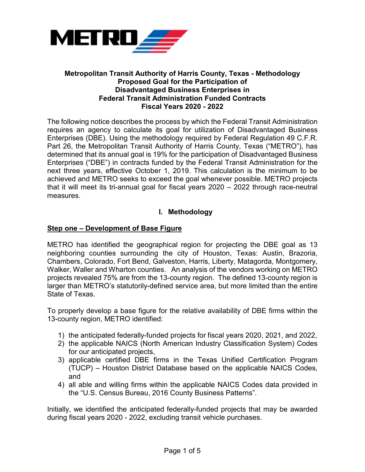

#### **Metropolitan Transit Authority of Harris County, Texas - Methodology Proposed Goal for the Participation of Disadvantaged Business Enterprises in Federal Transit Administration Funded Contracts Fiscal Years 2020 - 2022**

The following notice describes the process by which the Federal Transit Administration requires an agency to calculate its goal for utilization of Disadvantaged Business Enterprises (DBE). Using the methodology required by Federal Regulation 49 C.F.R. Part 26, the Metropolitan Transit Authority of Harris County, Texas ("METRO"), has determined that its annual goal is 19% for the participation of Disadvantaged Business Enterprises ("DBE") in contracts funded by the Federal Transit Administration for the next three years, effective October 1, 2019. This calculation is the minimum to be achieved and METRO seeks to exceed the goal whenever possible. METRO projects that it will meet its tri-annual goal for fiscal years 2020 – 2022 through race-neutral measures.

# **I. Methodology**

## **Step one – Development of Base Figure**

METRO has identified the geographical region for projecting the DBE goal as 13 neighboring counties surrounding the city of Houston, Texas: Austin, Brazoria, Chambers, Colorado, Fort Bend, Galveston, Harris, Liberty, Matagorda, Montgomery, Walker, Waller and Wharton counties. An analysis of the vendors working on METRO projects revealed 75% are from the 13-county region. The defined 13-county region is larger than METRO's statutorily-defined service area, but more limited than the entire State of Texas.

To properly develop a base figure for the relative availability of DBE firms within the 13-county region, METRO identified:

- 1) the anticipated federally-funded projects for fiscal years 2020, 2021, and 2022,
- 2) the applicable NAICS (North American Industry Classification System) Codes for our anticipated projects,
- 3) applicable certified DBE firms in the Texas Unified Certification Program (TUCP) – Houston District Database based on the applicable NAICS Codes, and
- 4) all able and willing firms within the applicable NAICS Codes data provided in the "U.S. Census Bureau, 2016 County Business Patterns".

Initially, we identified the anticipated federally-funded projects that may be awarded during fiscal years 2020 - 2022, excluding transit vehicle purchases.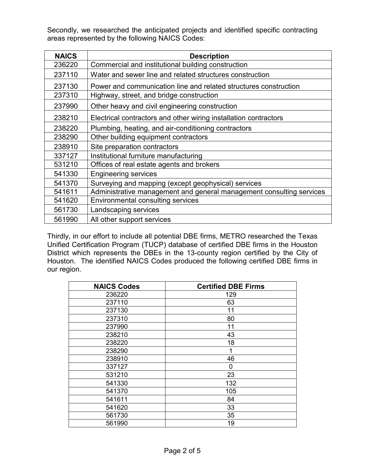Secondly, we researched the anticipated projects and identified specific contracting areas represented by the following NAICS Codes:

| <b>NAICS</b> | <b>Description</b>                                                   |
|--------------|----------------------------------------------------------------------|
| 236220       | Commercial and institutional building construction                   |
| 237110       | Water and sewer line and related structures construction             |
| 237130       | Power and communication line and related structures construction     |
| 237310       | Highway, street, and bridge construction                             |
| 237990       | Other heavy and civil engineering construction                       |
| 238210       | Electrical contractors and other wiring installation contractors     |
| 238220       | Plumbing, heating, and air-conditioning contractors                  |
| 238290       | Other building equipment contractors                                 |
| 238910       | Site preparation contractors                                         |
| 337127       | Institutional furniture manufacturing                                |
| 531210       | Offices of real estate agents and brokers                            |
| 541330       | <b>Engineering services</b>                                          |
| 541370       | Surveying and mapping (except geophysical) services                  |
| 541611       | Administrative management and general management consulting services |
| 541620       | <b>Environmental consulting services</b>                             |
| 561730       | Landscaping services                                                 |
| 561990       | All other support services                                           |

Thirdly, in our effort to include all potential DBE firms, METRO researched the Texas Unified Certification Program (TUCP) database of certified DBE firms in the Houston District which represents the DBEs in the 13-county region certified by the City of Houston. The identified NAICS Codes produced the following certified DBE firms in our region.

| <b>NAICS Codes</b> | <b>Certified DBE Firms</b> |
|--------------------|----------------------------|
| 236220             | 129                        |
| 237110             | 63                         |
| 237130             | 11                         |
| 237310             | 80                         |
| 237990             | 11                         |
| 238210             | 43                         |
| 238220             | 18                         |
| 238290             | 1                          |
| 238910             | 46                         |
| 337127             | 0                          |
| 531210             | 23                         |
| 541330             | 132                        |
| 541370             | 105                        |
| 541611             | 84                         |
| 541620             | 33                         |
| 561730             | 35                         |
| 561990             | 19                         |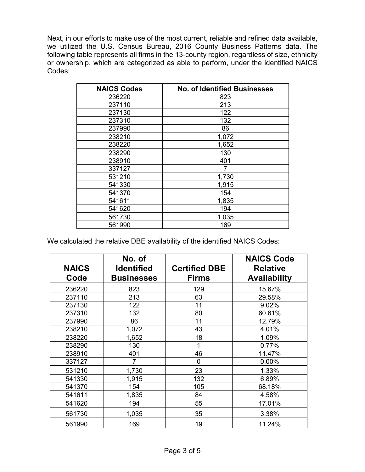Next, in our efforts to make use of the most current, reliable and refined data available, we utilized the U.S. Census Bureau, 2016 County Business Patterns data. The following table represents all firms in the 13-county region, regardless of size, ethnicity or ownership, which are categorized as able to perform, under the identified NAICS Codes:

| <b>NAICS Codes</b> | <b>No. of Identified Businesses</b> |
|--------------------|-------------------------------------|
| 236220             | 823                                 |
| 237110             | 213                                 |
| 237130             | 122                                 |
| 237310             | 132                                 |
| 237990             | 86                                  |
| 238210             | 1,072                               |
| 238220             | 1,652                               |
| 238290             | 130                                 |
| 238910             | 401                                 |
| 337127             | 7                                   |
| 531210             | 1,730                               |
| 541330             | 1,915                               |
| 541370             | 154                                 |
| 541611             | 1,835                               |
| 541620             | 194                                 |
| 561730             | 1,035                               |
| 561990             | 169                                 |

We calculated the relative DBE availability of the identified NAICS Codes:

| <b>NAICS</b><br>Code | No. of<br><b>Identified</b><br><b>Businesses</b> | <b>Certified DBE</b><br><b>Firms</b> | <b>NAICS Code</b><br><b>Relative</b><br><b>Availability</b> |
|----------------------|--------------------------------------------------|--------------------------------------|-------------------------------------------------------------|
| 236220               | 823                                              | 129                                  | 15.67%                                                      |
| 237110               | 213                                              | 63                                   | 29.58%                                                      |
| 237130               | 122                                              | 11                                   | 9.02%                                                       |
| 237310               | 132                                              | 80                                   | 60.61%                                                      |
| 237990               | 86                                               | 11                                   | 12.79%                                                      |
| 238210               | 1,072                                            | 43                                   | 4.01%                                                       |
| 238220               | 1,652                                            | 18                                   | 1.09%                                                       |
| 238290               | 130                                              |                                      | 0.77%                                                       |
| 238910               | 401                                              | 46                                   | 11.47%                                                      |
| 337127               | $\overline{7}$                                   | 0                                    | 0.00%                                                       |
| 531210               | 1,730                                            | 23                                   | 1.33%                                                       |
| 541330               | 1,915                                            | 132                                  | 6.89%                                                       |
| 541370               | 154                                              | 105                                  | 68.18%                                                      |
| 541611               | 1,835                                            | 84                                   | 4.58%                                                       |
| 541620               | 194                                              | 55                                   | 17.01%                                                      |
| 561730               | 1,035                                            | 35                                   | 3.38%                                                       |
| 561990               | 169                                              | 19                                   | 11.24%                                                      |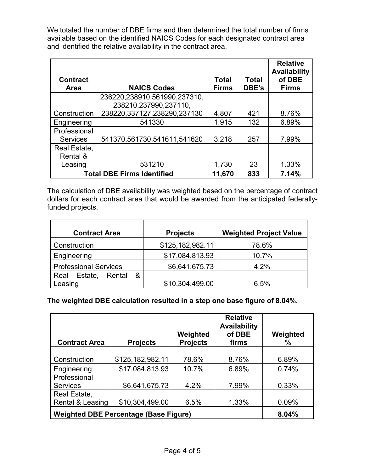We totaled the number of DBE firms and then determined the total number of firms available based on the identified NAICS Codes for each designated contract area and identified the relative availability in the contract area.

|                                   |                              |              |              | <b>Relative</b><br><b>Availability</b> |
|-----------------------------------|------------------------------|--------------|--------------|----------------------------------------|
| <b>Contract</b>                   |                              | <b>Total</b> | <b>Total</b> | of DBE                                 |
| <b>Area</b>                       | <b>NAICS Codes</b>           | <b>Firms</b> | <b>DBE's</b> | <b>Firms</b>                           |
|                                   | 236220,238910,561990,237310, |              |              |                                        |
|                                   | 238210,237990,237110,        |              |              |                                        |
| Construction                      | 238220,337127,238290,237130  | 4,807        | 421          | 8.76%                                  |
| Engineering                       | 541330                       | 1,915        | 132          | 6.89%                                  |
| Professional                      |                              |              |              |                                        |
| <b>Services</b>                   | 541370,561730,541611,541620  | 3,218        | 257          | 7.99%                                  |
| Real Estate,                      |                              |              |              |                                        |
| Rental &                          |                              |              |              |                                        |
| Leasing                           | 531210                       | 1,730        | 23           | 1.33%                                  |
| <b>Total DBE Firms Identified</b> | 11,670                       | 833          | 7.14%        |                                        |

The calculation of DBE availability was weighted based on the percentage of contract dollars for each contract area that would be awarded from the anticipated federallyfunded projects.

| <b>Contract Area</b>         | <b>Projects</b>  | <b>Weighted Project Value</b> |  |
|------------------------------|------------------|-------------------------------|--|
| Construction                 | \$125,182,982.11 | 78.6%                         |  |
| Engineering                  | \$17,084,813.93  | 10.7%                         |  |
| <b>Professional Services</b> | \$6,641,675.73   | 4.2%                          |  |
| &<br>Real Estate,<br>Rental  |                  |                               |  |
| .easing                      | \$10,304,499.00  | 6.5%                          |  |

**The weighted DBE calculation resulted in a step one base figure of 8.04%.**

| <b>Contract Area</b> | <b>Projects</b>                              | Weighted<br><b>Projects</b> | <b>Relative</b><br><b>Availability</b><br>of DBE<br>firms | Weighted<br>℅ |
|----------------------|----------------------------------------------|-----------------------------|-----------------------------------------------------------|---------------|
|                      |                                              |                             |                                                           |               |
| Construction         | \$125,182,982.11                             | 78.6%                       | 8.76%                                                     | 6.89%         |
| Engineering          | \$17,084,813.93                              | 10.7%                       | 6.89%                                                     | 0.74%         |
| Professional         |                                              |                             |                                                           |               |
| <b>Services</b>      | \$6,641,675.73                               | 4.2%                        | 7.99%                                                     | 0.33%         |
| Real Estate,         |                                              |                             |                                                           |               |
| Rental & Leasing     | \$10,304,499.00                              | 6.5%                        | 1.33%                                                     | 0.09%         |
|                      | <b>Weighted DBE Percentage (Base Figure)</b> |                             | 8.04%                                                     |               |